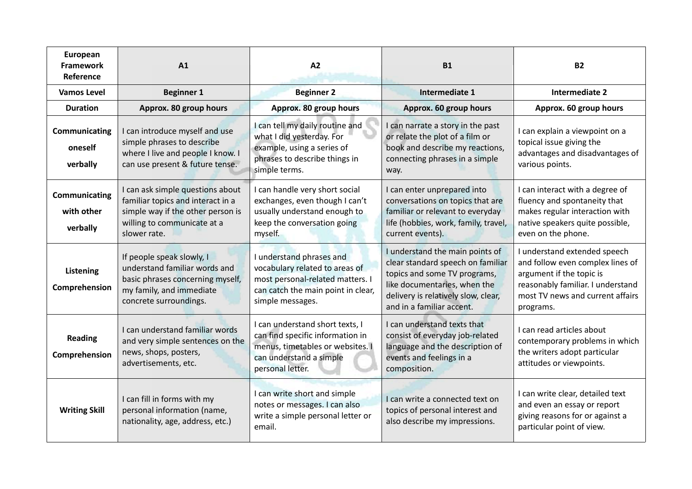| European<br><b>Framework</b><br>Reference | A1                                                                                                                                                        | A2                                                                                                                                                       | <b>B1</b>                                                                                                                                                                                                | <b>B2</b>                                                                                                                                                                          |
|-------------------------------------------|-----------------------------------------------------------------------------------------------------------------------------------------------------------|----------------------------------------------------------------------------------------------------------------------------------------------------------|----------------------------------------------------------------------------------------------------------------------------------------------------------------------------------------------------------|------------------------------------------------------------------------------------------------------------------------------------------------------------------------------------|
| <b>Vamos Level</b>                        | <b>Beginner 1</b>                                                                                                                                         | <b>Beginner 2</b>                                                                                                                                        | Intermediate 1                                                                                                                                                                                           | <b>Intermediate 2</b>                                                                                                                                                              |
| <b>Duration</b>                           | Approx. 80 group hours                                                                                                                                    | Approx. 80 group hours                                                                                                                                   | Approx. 60 group hours                                                                                                                                                                                   | Approx. 60 group hours                                                                                                                                                             |
| Communicating<br>oneself<br>verbally      | I can introduce myself and use<br>simple phrases to describe<br>where I live and people I know. I<br>can use present & future tense.                      | I can tell my daily routine and<br>what I did yesterday. For<br>example, using a series of<br>phrases to describe things in<br>simple terms.             | I can narrate a story in the past<br>or relate the plot of a film or<br>book and describe my reactions,<br>connecting phrases in a simple<br>way.                                                        | I can explain a viewpoint on a<br>topical issue giving the<br>advantages and disadvantages of<br>various points.                                                                   |
| Communicating<br>with other<br>verbally   | I can ask simple questions about<br>familiar topics and interact in a<br>simple way if the other person is<br>willing to communicate at a<br>slower rate. | I can handle very short social<br>exchanges, even though I can't<br>usually understand enough to<br>keep the conversation going<br>myself.               | I can enter unprepared into<br>conversations on topics that are<br>familiar or relevant to everyday<br>life (hobbies, work, family, travel,<br>current events).                                          | I can interact with a degree of<br>fluency and spontaneity that<br>makes regular interaction with<br>native speakers quite possible,<br>even on the phone.                         |
| Listening<br>Comprehension                | If people speak slowly, I<br>understand familiar words and<br>basic phrases concerning myself,<br>my family, and immediate<br>concrete surroundings.      | I understand phrases and<br>vocabulary related to areas of<br>most personal-related matters. I<br>can catch the main point in clear,<br>simple messages. | I understand the main points of<br>clear standard speech on familiar<br>topics and some TV programs,<br>like documentaries, when the<br>delivery is relatively slow, clear,<br>and in a familiar accent. | I understand extended speech<br>and follow even complex lines of<br>argument if the topic is<br>reasonably familiar. I understand<br>most TV news and current affairs<br>programs. |
| <b>Reading</b><br>Comprehension           | I can understand familiar words<br>and very simple sentences on the<br>news, shops, posters,<br>advertisements, etc.                                      | I can understand short texts, I<br>can find specific information in<br>menus, timetables or websites.<br>can understand a simple<br>personal letter.     | I can understand texts that<br>consist of everyday job-related<br>language and the description of<br>events and feelings in a<br>composition.                                                            | I can read articles about<br>contemporary problems in which<br>the writers adopt particular<br>attitudes or viewpoints.                                                            |
| <b>Writing Skill</b>                      | I can fill in forms with my<br>personal information (name,<br>nationality, age, address, etc.)                                                            | I can write short and simple<br>notes or messages. I can also<br>write a simple personal letter or<br>email.                                             | I can write a connected text on<br>topics of personal interest and<br>also describe my impressions.                                                                                                      | I can write clear, detailed text<br>and even an essay or report<br>giving reasons for or against a<br>particular point of view.                                                    |